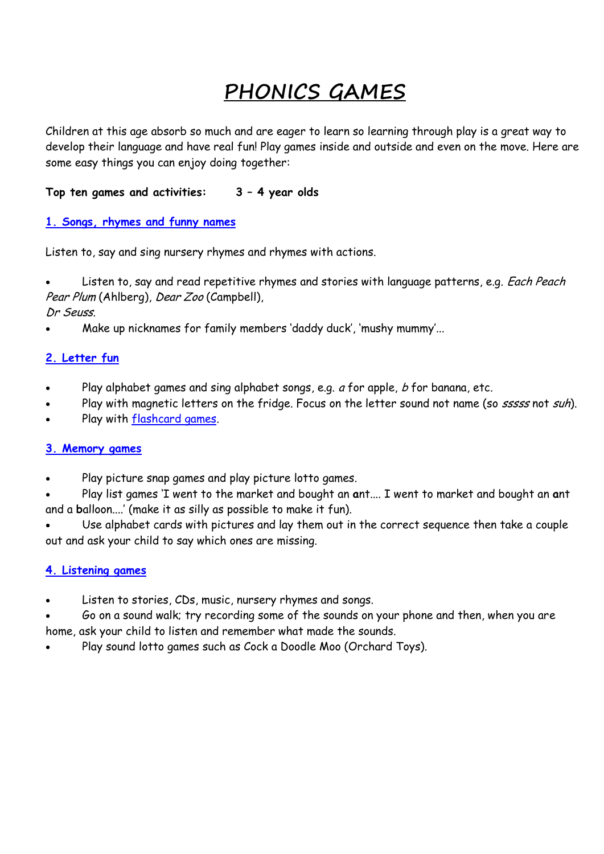# **PHONICS GAMES**

Children at this age absorb so much and are eager to learn so learning through play is a great way to develop their language and have real fun! Play games inside and outside and even on the move. Here are some easy things you can enjoy doing together:

## **Top ten games and activities: 3 – 4 year olds**

#### **[1. Songs, rhymes and funny names](http://www.oxfordowl.co.uk/FunIdeas/Index/1#section1#section1)**

Listen to, say and sing nursery rhymes and rhymes with actions.

Listen to, say and read repetitive rhymes and stories with language patterns, e.g. Each Peach Pear Plum (Ahlberg), Dear Zoo (Campbell),

Dr Seuss.

Make up nicknames for family members 'daddy duck', 'mushy mummy'...

#### **[2. Letter fun](http://www.oxfordowl.co.uk/FunIdeas/Index/1#section2#section2)**

- Play alphabet games and sing alphabet songs, e.g. a for apple, b for banana, etc.
- Play with magnetic letters on the fridge. Focus on the letter sound not name (so sssss not suh).
- Play with [flashcard games.](http://www.oxfordowl.co.uk/Library/Index/?AgeGroup=1)

#### **[3. Memory games](http://www.oxfordowl.co.uk/FunIdeas/Index/1#section3#section3)**

Play picture snap games and play picture lotto games.

 Play list games 'I went to the market and bought an **a**nt.... I went to market and bought an **a**nt and a **b**alloon....' (make it as silly as possible to make it fun).

 Use alphabet cards with pictures and lay them out in the correct sequence then take a couple out and ask your child to say which ones are missing.

#### **[4. Listening games](http://www.oxfordowl.co.uk/FunIdeas/Index/1#section4#section4)**

- Listen to stories, CDs, music, nursery rhymes and songs.
- Go on a sound walk; try recording some of the sounds on your phone and then, when you are home, ask your child to listen and remember what made the sounds.
- Play sound lotto games such as Cock a Doodle Moo (Orchard Toys).